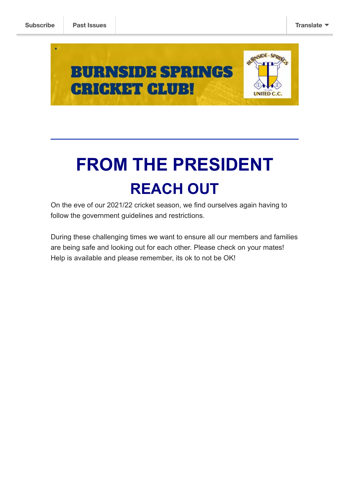

# **FROM THE PRESIDENT REACH OUT**

On the eve of our 2021/22 cricket season, we find ourselves again having to follow the government guidelines and restrictions.

During these challenging times we want to ensure all our members and families are being safe and looking out for each other. Please check on your mates! Help is available and please remember, its ok to not be OK!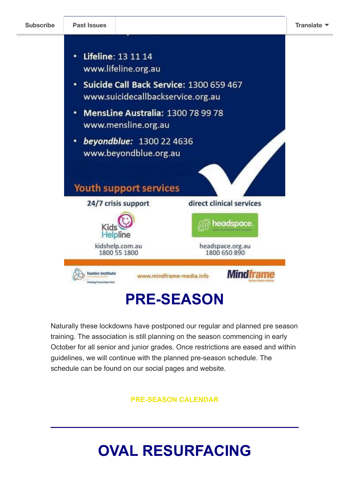

### **PRE-SEASON**

Naturally these lockdowns have postponed our regular and planned pre season training. The association is still planning on the season commencing in early October for all senior and junior grades. Once restrictions are eased and within guidelines, we will continue with the planned pre-season schedule. The schedule can be found on our social pages and website.

**[PRE-SEASON CALENDAR](http://burnsidespringsunitedcricketclub.com.au/2021-22-pre-season-training-schedule/)**

## **OVAL RESURFACING**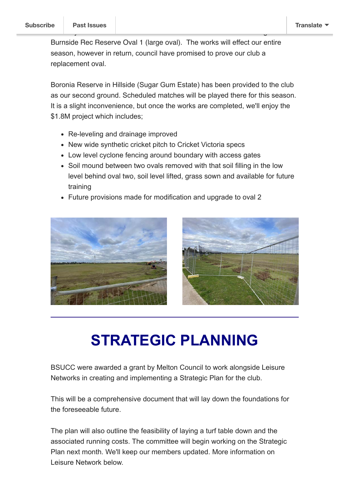Burnside Rec Reserve Oval 1 (large oval). The works will effect our entire season, however in return, council have promised to prove our club a replacement oval.

You [may have noticed](https://us5.campaign-archive.com/home/?u=1db4d2b4a540b8eb180852a97&id=49690a0c33) some work has commenced on the resurfacing of

Boronia Reserve in Hillside (Sugar Gum Estate) has been provided to the club as our second ground. Scheduled matches will be played there for this season. It is a slight inconvenience, but once the works are completed, we'll enjoy the \$1.8M project which includes;

- Re-leveling and drainage improved
- New wide synthetic cricket pitch to Cricket Victoria specs
- Low level cyclone fencing around boundary with access gates
- Soil mound between two ovals removed with that soil filling in the low level behind oval two, soil level lifted, grass sown and available for future training
- Future provisions made for modification and upgrade to oval 2





### **STRATEGIC PLANNING**

BSUCC were awarded a grant by Melton Council to work alongside Leisure Networks in creating and implementing a Strategic Plan for the club.

This will be a comprehensive document that will lay down the foundations for the foreseeable future.

The plan will also outline the feasibility of laying a turf table down and the associated running costs. The committee will begin working on the Strategic Plan next month. We'll keep our members updated. More information on Leisure Network below.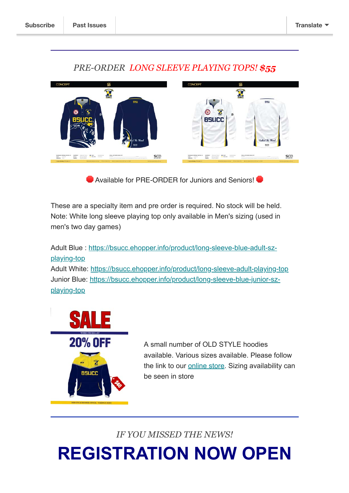

#### *PRE-ORDER LONG SLEEVE PLAYING TOPS! \$55*

Available for PRE-ORDER for Juniors and Seniors!

These are a specialty item and pre order is required. No stock will be held. Note: White long sleeve playing top only available in Men's sizing (used in men's two day games)

[Adult Blue : https://bsucc.ehopper.info/product/long-sleeve-blue-adult-sz](https://bsucc.ehopper.info/product/long-sleeve-blue-adult-sz-playing-top/?fbclid=IwAR3zz4sK7bf7DvoeO3YVtIW0n16WxjzXHS3A_-OTT-i4NJT9CBrM5XSFJFQ)playing-top Adult White: [https://bsucc.ehopper.info/product/long-sleeve-adult-playing-top](https://bsucc.ehopper.info/product/long-sleeve-adult-playing-top/?fbclid=IwAR1H2X-kVYigCIq_jw2f6ktfet7kgRdoRc9Xp3v7IuZG3VzQInMDz-hwyjw) [Junior Blue: https://bsucc.ehopper.info/product/long-sleeve-blue-junior-sz-](https://bsucc.ehopper.info/product/long-sleeve-blue-junior-sz-playing-top/?fbclid=IwAR3fcamncnsSiMt-15Jnv68Ky2SzJ-6nxKDNcQFDz01vWPrpCWVVeiYZ9S8)

playing-top



A small number of OLD STYLE hoodies available. Various sizes available. Please follow the link to our [online store.](https://bsucc.ehopper.info/) Sizing availability can be seen in store

*IF YOU MISSED THE NEWS!*

**REGISTRATION NOW OPEN**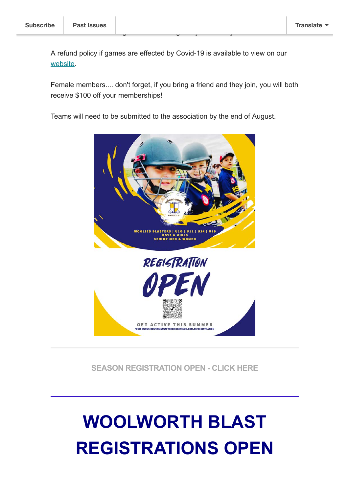A refund policy if games are effected by Covid-19 is available to view on our [website](http://burnsidespringsunitedcricketclub.com.au/registration/).

Please click on the image or button to register yourself or your children.

Female members.... don't forget, if you bring a friend and they join, you will both receive \$100 off your memberships!

Teams will need to be submitted to the association by the end of August.



**[SEASON REGISTRATION OPEN - CLICK HERE](http://burnsidespringsunitedcricketclub.com.au/registration/)**

# **WOOLWORTH BLAST REGISTRATIONS OPEN**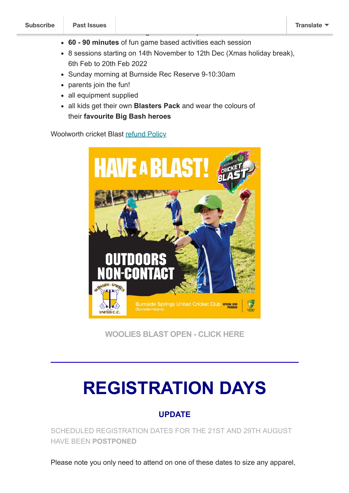- **60 90 minutes** of fun game based activities each session
- 8 sessions starting on 14th November to 12th Dec (Xmas holiday break), 6th Feb to 20th Feb 2022
- Sunday morning at Burnside Rec Reserve 9-10:30am

for kids **new to cricket** age between 5-9 years old

- parents join the fun!
- all equipment supplied
- all kids get their own **Blasters Pack** and wear the colours of their **favourite Big Bash heroes**

Woolworth cricket Blast [refund Policy](https://www.community.cricket.com.au/elp-refund-policy)



**[WOOLIES BLAST OPEN - CLICK HERE](https://play.cricket.com.au/club/burnside-springs-cricket-club/250641c4-87d8-eb11-a7ad-2818780da0cc)**

# **REGISTRATION DAYS**

#### **UPDATE**

SCHEDULED REGISTRATION DATES FOR THE 21ST AND 29TH AUGUST HAVE BEEN **POSTPONED**

Please note you only need to attend on one of these dates to size any apparel,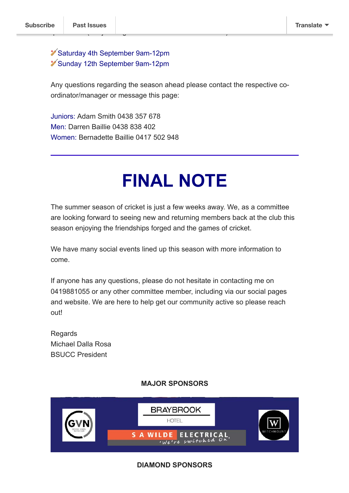#### Saturday 4th September 9am-12pm Sunday 12th September 9am-12pm

questions:- (Subject to government Covid-19 restrictions) (Subject to government Covid-19 restrictions) (Subject

Any questions regarding the season ahead please contact the respective coordinator/manager or message this page:

Juniors: Adam Smith 0438 357 678 Men: Darren Baillie 0438 838 402 Women: Bernadette Baillie 0417 502 948

## **FINAL NOTE**

The summer season of cricket is just a few weeks away. We, as a committee are looking forward to seeing new and returning members back at the club this season enjoying the friendships forged and the games of cricket.

We have many social events lined up this season with more information to come.

If anyone has any questions, please do not hesitate in contacting me on 0419881055 or any other committee member, including via our social pages and website. We are here to help get our community active so please reach out!

Regards Michael Dalla Rosa BSUCC President

#### **MAJOR SPONSORS**



#### **DIAMOND SPONSORS**